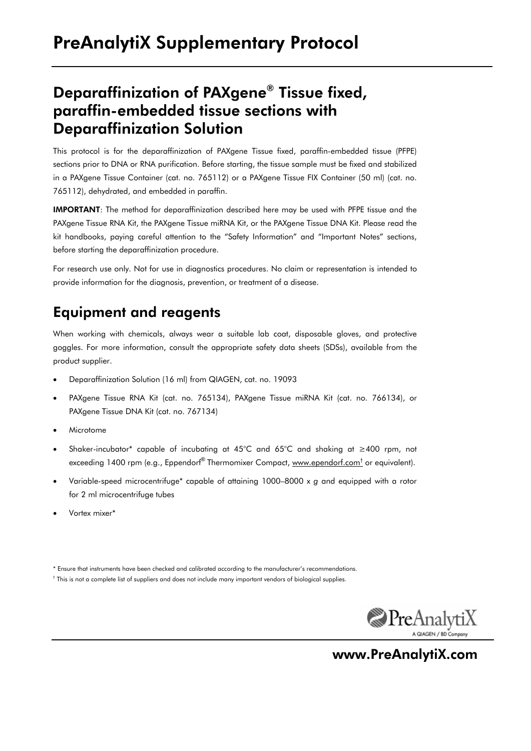## Deparaffinization of PAXgene® Tissue fixed, paraffin-embedded tissue sections with Deparaffinization Solution

This protocol is for the deparaffinization of PAXgene Tissue fixed, paraffin-embedded tissue (PFPE) sections prior to DNA or RNA purification. Before starting, the tissue sample must be fixed and stabilized in a PAXgene Tissue Container (cat. no. 765112) or a PAXgene Tissue FIX Container (50 ml) (cat. no. 765112), dehydrated, and embedded in paraffin.

IMPORTANT: The method for deparaffinization described here may be used with PFPE tissue and the PAXgene Tissue RNA Kit, the PAXgene Tissue miRNA Kit, or the PAXgene Tissue DNA Kit. Please read the kit handbooks, paying careful attention to the "Safety Information" and "Important Notes" sections, before starting the deparaffinization procedure.

For research use only. Not for use in diagnostics procedures. No claim or representation is intended to provide information for the diagnosis, prevention, or treatment of a disease.

## Equipment and reagents

When working with chemicals, always wear a suitable lab coat, disposable gloves, and protective goggles. For more information, consult the appropriate safety data sheets (SDSs), available from the product supplier.

- Deparaffinization Solution (16 ml) from QIAGEN, cat. no. 19093
- PAXgene Tissue RNA Kit (cat. no. 765134), PAXgene Tissue miRNA Kit (cat. no. 766134), or PAXgene Tissue DNA Kit (cat. no. 767134)
- **Microtome**
- Shaker-incubator\* capable of incubating at 45°C and 65°C and shaking at ≥400 rpm, not exceeding 1400 rpm (e.g., Eppendorf® Thermomixer Compact, www.ependorf.com<sup>t</sup> or equivalent).
- Variable-speed microcentrifuge\* capable of attaining 1000–8000 x *g* and equipped with a rotor for 2 ml microcentrifuge tubes
- Vortex mixer\*
- \* Ensure that instruments have been checked and calibrated according to the manufacturer's recommendations.
- † This is not a complete list of suppliers and does not include many important vendors of biological supplies.



www.PreAnalytiX.com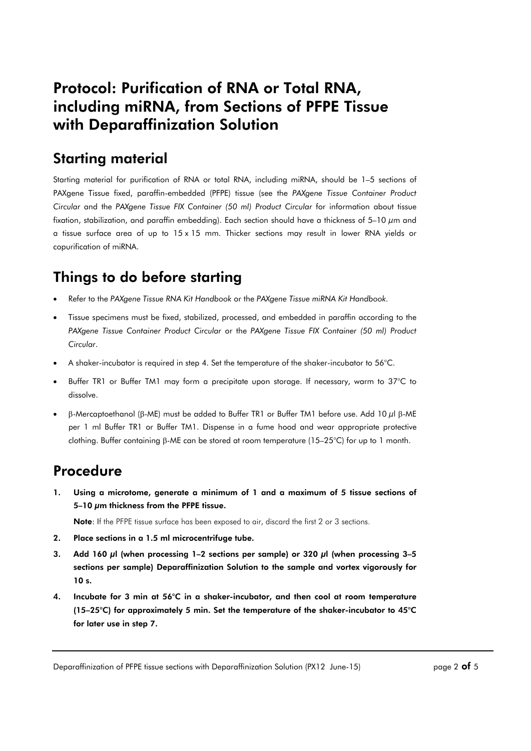## Protocol: Purification of RNA or Total RNA, including miRNA, from Sections of PFPE Tissue with Deparaffinization Solution

#### Starting material

Starting material for purification of RNA or total RNA, including miRNA, should be 1–5 sections of PAXgene Tissue fixed, paraffin-embedded (PFPE) tissue (see the *PAXgene Tissue Container Product Circular* and the *PAXgene Tissue FIX Container (50 ml) Product Circular* for information about tissue fixation, stabilization, and paraffin embedding). Each section should have a thickness of 5–10  $\mu$ m and a tissue surface area of up to 15 x 15 mm. Thicker sections may result in lower RNA yields or copurification of miRNA.

## Things to do before starting

- Refer to the *PAXgene Tissue RNA Kit Handbook* or the *PAXgene Tissue miRNA Kit Handbook.*
- Tissue specimens must be fixed, stabilized, processed, and embedded in paraffin according to the *PAXgene Tissue Container Product Circular* or the *PAXgene Tissue FIX Container (50 ml) Product Circular*.
- A shaker-incubator is required in step 4. Set the temperature of the shaker-incubator to 56°C.
- Buffer TR1 or Buffer TM1 may form a precipitate upon storage. If necessary, warm to 37°C to dissolve.
- β-Mercaptoethanol (β-ME) must be added to Buffer TR1 or Buffer TM1 before use. Add 10 µl β-ME per 1 ml Buffer TR1 or Buffer TM1. Dispense in a fume hood and wear appropriate protective clothing. Buffer containing β-ME can be stored at room temperature (15–25°C) for up to 1 month.

#### Procedure

1. Using a microtome, generate a minimum of 1 and a maximum of 5 tissue sections of 5–10 µm thickness from the PFPE tissue.

Note: If the PFPE tissue surface has been exposed to air, discard the first 2 or 3 sections.

- 2. Place sections in a 1.5 ml microcentrifuge tube.
- 3. Add 160  $\mu$ l (when processing 1-2 sections per sample) or 320  $\mu$ l (when processing 3-5 sections per sample) Deparaffinization Solution to the sample and vortex vigorously for 10 s.
- 4. Incubate for 3 min at 56°C in a shaker-incubator, and then cool at room temperature (15–25°C) for approximately 5 min. Set the temperature of the shaker-incubator to 45°C for later use in step 7.

Deparaffinization of PFPE tissue sections with Deparaffinization Solution (PX12 June-15) page 2 of 5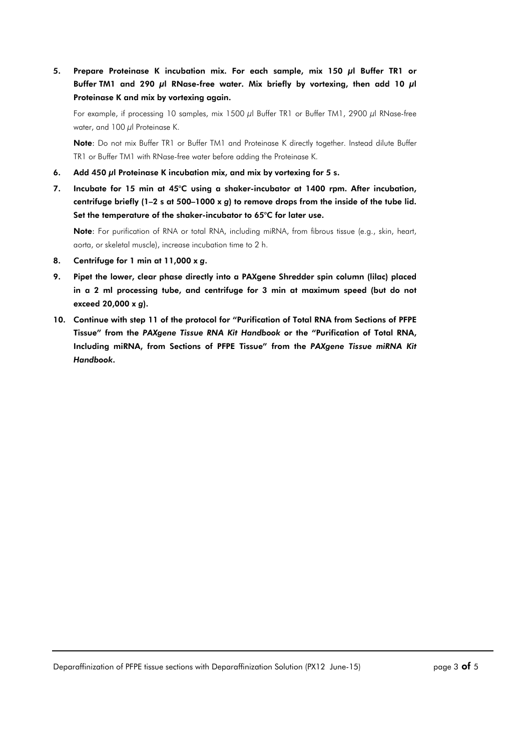5. Prepare Proteinase K incubation mix. For each sample, mix 150 µl Buffer TR1 or Buffer TM1 and 290  $\mu$ l RNase-free water. Mix briefly by vortexing, then add 10  $\mu$ l Proteinase K and mix by vortexing again.

For example, if processing 10 samples, mix 1500 µl Buffer TR1 or Buffer TM1, 2900 µl RNase-free water, and  $100 \mu$ l Proteinase K.

Note: Do not mix Buffer TR1 or Buffer TM1 and Proteinase K directly together. Instead dilute Buffer TR1 or Buffer TM1 with RNase-free water before adding the Proteinase K.

- 6. Add 450 µl Proteinase K incubation mix, and mix by vortexing for 5 s.
- 7. Incubate for 15 min at 45°C using a shaker-incubator at 1400 rpm. After incubation, centrifuge briefly (1–2 s at 500–1000 x *g*) to remove drops from the inside of the tube lid. Set the temperature of the shaker-incubator to 65°C for later use.

Note: For purification of RNA or total RNA, including miRNA, from fibrous tissue (e.g., skin, heart, aorta, or skeletal muscle), increase incubation time to 2 h.

- 8. Centrifuge for 1 min at 11,000 x *g*.
- 9. Pipet the lower, clear phase directly into a PAXgene Shredder spin column (lilac) placed in a 2 ml processing tube, and centrifuge for 3 min at maximum speed (but do not exceed 20,000 x *g*).
- 10. Continue with step 11 of the protocol for "Purification of Total RNA from Sections of PFPE Tissue" from the *PAXgene Tissue RNA Kit Handbook* or the "Purification of Total RNA, Including miRNA, from Sections of PFPE Tissue" from the *PAXgene Tissue miRNA Kit Handbook*.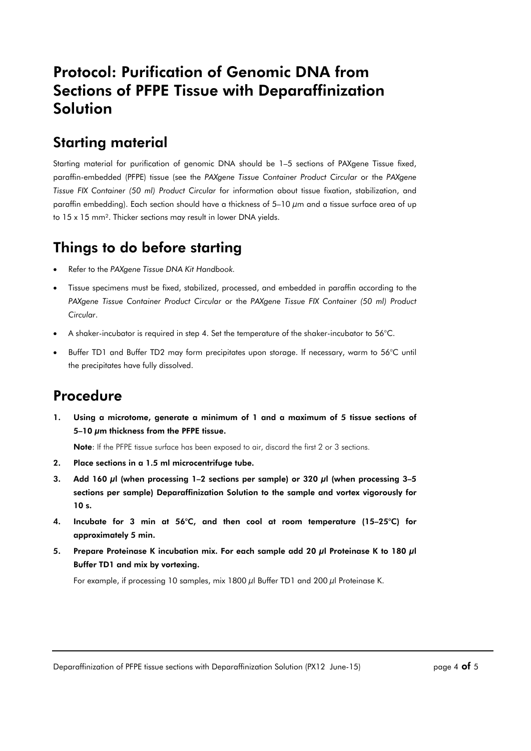## Protocol: Purification of Genomic DNA from Sections of PFPE Tissue with Deparaffinization Solution

### Starting material

Starting material for purification of genomic DNA should be 1–5 sections of PAXgene Tissue fixed, paraffin-embedded (PFPE) tissue (see the *PAXgene Tissue Container Product Circular* or the *PAXgene Tissue FIX Container (50 ml) Product Circular* for information about tissue fixation, stabilization, and paraffin embedding). Each section should have a thickness of 5–10 µm and a tissue surface area of up to 15 x 15 mm². Thicker sections may result in lower DNA yields.

# Things to do before starting

- Refer to the *PAXgene Tissue DNA Kit Handbook.*
- Tissue specimens must be fixed, stabilized, processed, and embedded in paraffin according to the *PAXgene Tissue Container Product Circular* or the *PAXgene Tissue FIX Container (50 ml) Product Circular*.
- A shaker-incubator is required in step 4. Set the temperature of the shaker-incubator to  $56^{\circ}$ C.
- Buffer TD1 and Buffer TD2 may form precipitates upon storage. If necessary, warm to 56°C until the precipitates have fully dissolved.

#### Procedure

1. Using a microtome, generate a minimum of 1 and a maximum of 5 tissue sections of 5–10  $\mu$ m thickness from the PFPE tissue.

Note: If the PFPE tissue surface has been exposed to air, discard the first 2 or 3 sections.

- 2. Place sections in a 1.5 ml microcentrifuge tube.
- 3. Add 160 µl (when processing 1–2 sections per sample) or 320 µl (when processing 3–5 sections per sample) Deparaffinization Solution to the sample and vortex vigorously for 10 s.
- 4. Incubate for 3 min at 56°C, and then cool at room temperature (15–25°C) for approximately 5 min.
- 5. Prepare Proteinase K incubation mix. For each sample add 20  $\mu$ l Proteinase K to 180  $\mu$ l Buffer TD1 and mix by vortexing.

For example, if processing 10 samples, mix 1800  $\mu$ l Buffer TD1 and 200  $\mu$ l Proteinase K.